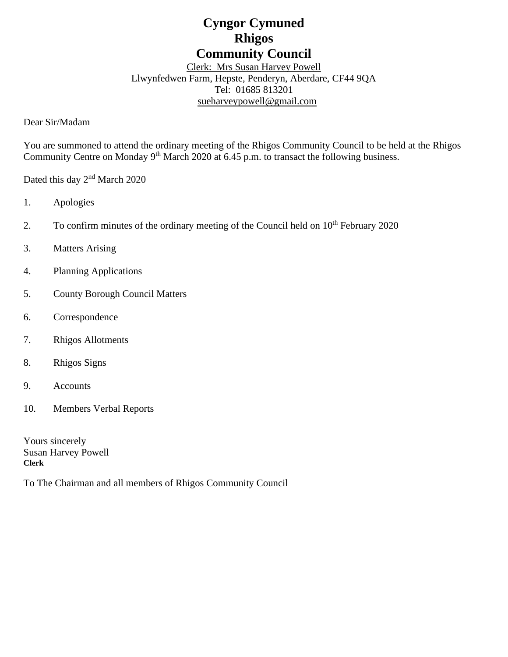# **Cyngor Cymuned Rhigos Community Council**

Clerk: Mrs Susan Harvey Powell Llwynfedwen Farm, Hepste, Penderyn, Aberdare, CF44 9QA Tel: 01685 813201 [sueharveypowell@g](mailto:sharveypowell@comin-infants.co.uk)mail.com

Dear Sir/Madam

You are summoned to attend the ordinary meeting of the Rhigos Community Council to be held at the Rhigos Community Centre on Monday 9<sup>th</sup> March 2020 at 6.45 p.m. to transact the following business.

Dated this day 2<sup>nd</sup> March 2020

- 1. Apologies
- 2. To confirm minutes of the ordinary meeting of the Council held on 10<sup>th</sup> February 2020
- 3. Matters Arising
- 4. Planning Applications
- 5. County Borough Council Matters
- 6. Correspondence
- 7. Rhigos Allotments
- 8. Rhigos Signs
- 9. Accounts
- 10. Members Verbal Reports

Yours sincerely Susan Harvey Powell **Clerk**

To The Chairman and all members of Rhigos Community Council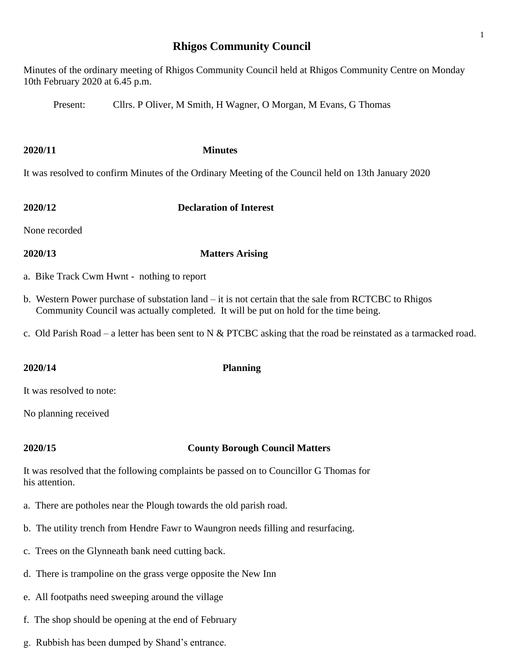# **Rhigos Community Council**

Minutes of the ordinary meeting of Rhigos Community Council held at Rhigos Community Centre on Monday 10th February 2020 at 6.45 p.m.

Present: Cllrs. P Oliver, M Smith, H Wagner, O Morgan, M Evans, G Thomas

### **2020/11 Minutes**

It was resolved to confirm Minutes of the Ordinary Meeting of the Council held on 13th January 2020

**2020/12 Declaration of Interest**

None recorded

- **2020/13 Matters Arising**
- a. Bike Track Cwm Hwnt nothing to report
- b. Western Power purchase of substation land it is not certain that the sale from RCTCBC to Rhigos Community Council was actually completed. It will be put on hold for the time being.
- c. Old Parish Road a letter has been sent to N  $&$  PTCBC asking that the road be reinstated as a tarmacked road.

**2020/14 Planning**

It was resolved to note:

No planning received

## **2020/15 County Borough Council Matters**

It was resolved that the following complaints be passed on to Councillor G Thomas for his attention.

- a. There are potholes near the Plough towards the old parish road.
- b. The utility trench from Hendre Fawr to Waungron needs filling and resurfacing.
- c. Trees on the Glynneath bank need cutting back.
- d. There is trampoline on the grass verge opposite the New Inn
- e. All footpaths need sweeping around the village
- f. The shop should be opening at the end of February
- g. Rubbish has been dumped by Shand's entrance.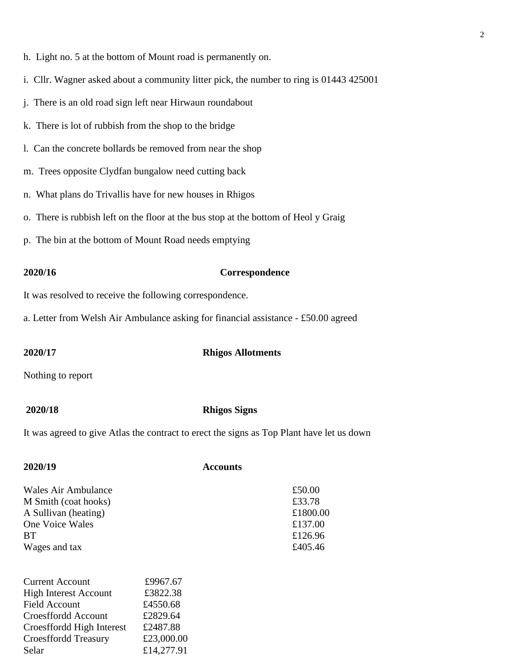- h. Light no. 5 at the bottom of Mount road is permanently on.
- i. Cllr. Wagner asked about a community litter pick, the number to ring is 01443 425001
- j. There is an old road sign left near Hirwaun roundabout
- k. There is lot of rubbish from the shop to the bridge
- l. Can the concrete bollards be removed from near the shop
- m. Trees opposite Clydfan bungalow need cutting back
- n. What plans do Trivallis have for new houses in Rhigos
- o. There is rubbish left on the floor at the bus stop at the bottom of Heol y Graig
- p. The bin at the bottom of Mount Road needs emptying

### **2020/16 Correspondence**

It was resolved to receive the following correspondence.

a. Letter from Welsh Air Ambulance asking for financial assistance - £50.00 agreed

### **2020/17 Rhigos Allotments**

Nothing to report

### **2020/18 Rhigos Signs**

It was agreed to give Atlas the contract to erect the signs as Top Plant have let us down

| 2020/19                      | <b>Accounts</b> |          |
|------------------------------|-----------------|----------|
| Wales Air Ambulance          |                 | £50.00   |
| M Smith (coat hooks)         |                 | £33.78   |
| A Sullivan (heating)         |                 | £1800.00 |
| One Voice Wales              |                 | £137.00  |
| <b>BT</b>                    |                 | £126.96  |
| Wages and tax                |                 | £405.46  |
| <b>Current Account</b>       | £9967.67        |          |
| <b>High Interest Account</b> | £3822.38        |          |
| Field Account                | £4550.68        |          |
| Croesffordd Account          | £2829.64        |          |
| Croesffordd High Interest    | £2487.88        |          |
| <b>Croesffordd Treasury</b>  | £23,000.00      |          |
| Selar                        | £14.277.91      |          |